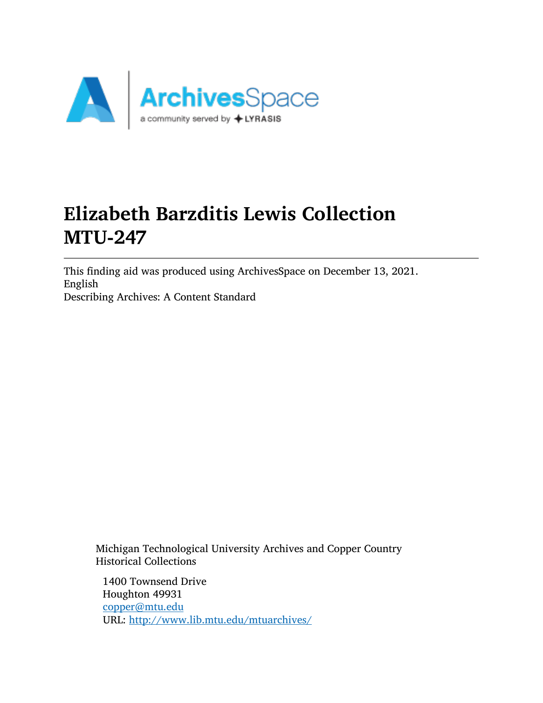

# Elizabeth Barzditis Lewis Collection MTU-247

This finding aid was produced using ArchivesSpace on December 13, 2021. English Describing Archives: A Content Standard

Michigan Technological University Archives and Copper Country Historical Collections

1400 Townsend Drive Houghton 49931 [copper@mtu.edu](mailto:copper@mtu.edu) URL: <http://www.lib.mtu.edu/mtuarchives/>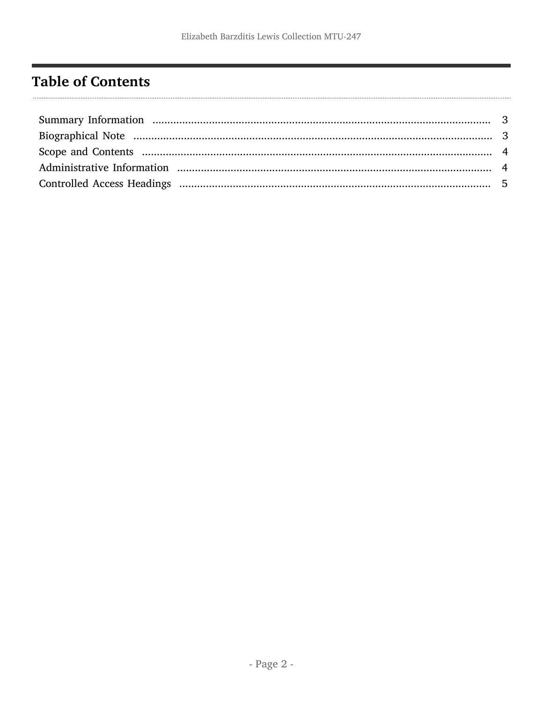# <span id="page-1-0"></span>**Table of Contents**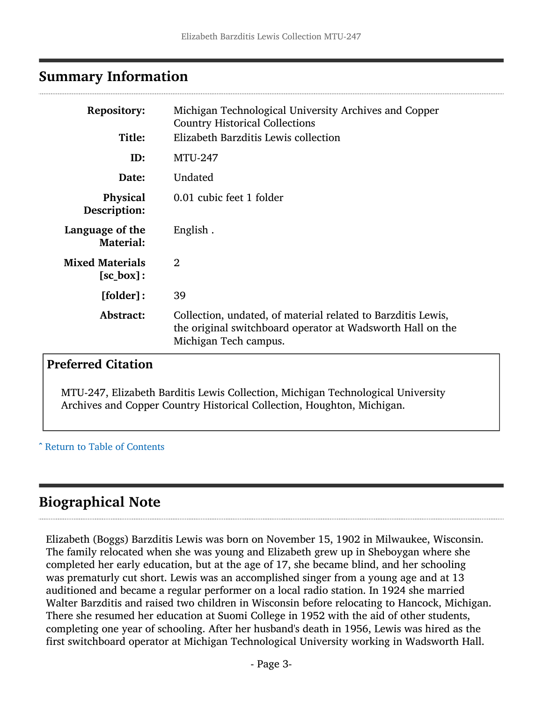### <span id="page-2-0"></span>Summary Information

| <b>Repository:</b><br>Title:                  | Michigan Technological University Archives and Copper<br><b>Country Historical Collections</b><br>Elizabeth Barzditis Lewis collection              |
|-----------------------------------------------|-----------------------------------------------------------------------------------------------------------------------------------------------------|
| ID:                                           | <b>MTU-247</b>                                                                                                                                      |
| Date:                                         | Undated                                                                                                                                             |
| Physical<br>Description:                      | 0.01 cubic feet 1 folder                                                                                                                            |
| Language of the<br><b>Material:</b>           | English.                                                                                                                                            |
| <b>Mixed Materials</b><br>$[sc_{\theta}box]:$ | $\overline{2}$                                                                                                                                      |
| [folder]:                                     | 39                                                                                                                                                  |
| Abstract:                                     | Collection, undated, of material related to Barzditis Lewis,<br>the original switchboard operator at Wadsworth Hall on the<br>Michigan Tech campus. |

## Preferred Citation

MTU-247, Elizabeth Barditis Lewis Collection, Michigan Technological University Archives and Copper Country Historical Collection, Houghton, Michigan.

^ [Return to Table of Contents](#page-1-0)

## <span id="page-2-1"></span>Biographical Note

Elizabeth (Boggs) Barzditis Lewis was born on November 15, 1902 in Milwaukee, Wisconsin. The family relocated when she was young and Elizabeth grew up in Sheboygan where she completed her early education, but at the age of 17, she became blind, and her schooling was prematurly cut short. Lewis was an accomplished singer from a young age and at 13 auditioned and became a regular performer on a local radio station. In 1924 she married Walter Barzditis and raised two children in Wisconsin before relocating to Hancock, Michigan. There she resumed her education at Suomi College in 1952 with the aid of other students, completing one year of schooling. After her husband's death in 1956, Lewis was hired as the first switchboard operator at Michigan Technological University working in Wadsworth Hall.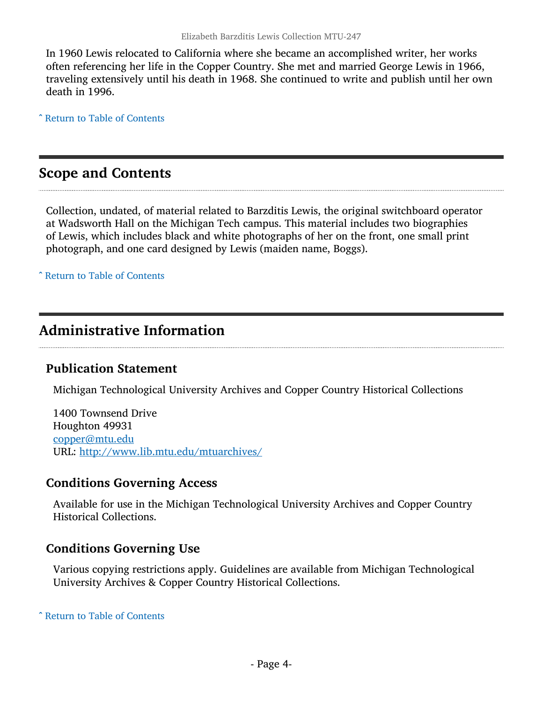In 1960 Lewis relocated to California where she became an accomplished writer, her works often referencing her life in the Copper Country. She met and married George Lewis in 1966, traveling extensively until his death in 1968. She continued to write and publish until her own death in 1996.

^ [Return to Table of Contents](#page-1-0)

### <span id="page-3-0"></span>Scope and Contents

Collection, undated, of material related to Barzditis Lewis, the original switchboard operator at Wadsworth Hall on the Michigan Tech campus. This material includes two biographies of Lewis, which includes black and white photographs of her on the front, one small print photograph, and one card designed by Lewis (maiden name, Boggs).

^ [Return to Table of Contents](#page-1-0)

## <span id="page-3-1"></span>Administrative Information

#### Publication Statement

Michigan Technological University Archives and Copper Country Historical Collections

1400 Townsend Drive Houghton 49931 [copper@mtu.edu](mailto:copper@mtu.edu) URL: <http://www.lib.mtu.edu/mtuarchives/>

#### Conditions Governing Access

Available for use in the Michigan Technological University Archives and Copper Country Historical Collections.

#### Conditions Governing Use

Various copying restrictions apply. Guidelines are available from Michigan Technological University Archives & Copper Country Historical Collections.

^ [Return to Table of Contents](#page-1-0)